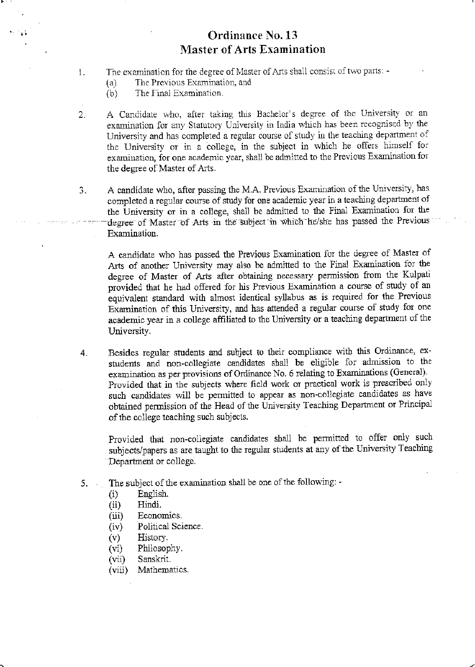## Ordinance No. 13 **Master of Arts Examination**

- The examination for the degree of Master of Arts shall consist of two parts: -1.
	- The Previous Examination, and  $(a)$
	- The Final Examination.  $(b)$
- A Candidate who, after taking this Bachelor's degree of the University or an  $2.$ examination for any Statutory University in India which has been recognised by the University and has completed a regular course of study in the teaching department of the University or in a college, in the subject in which he offers himself for examination, for one academic year, shall be admitted to the Previous Examination for the degree of Master of Arts.
- A candidate who, after passing the M.A. Previous Examination of the University, has 3. completed a regular course of study for one academic year in a teaching department of the University or in a college, shall be admitted to the Final Examination for the degree of Master of Arts in the subject in which he/she has passed the Previous Examination.

A candidate who has passed the Previous Examination for the degree of Master of Arts of another University may also be admitted to the Final Examination for the degree of Master of Arts after obtaining necessary permission from the Kulpati provided that he had offered for his Previous Examination a course of study of an equivalent standard with almost identical syllabus as is required for the Previous Examination of this University, and has attended a regular course of study for one academic year in a college affiliated to the University or a teaching department of the University.

Besides regular students and subject to their compliance with this Ordinance, ex- $4.$ students and non-collegiate candidates shall be eligible for admission to the examination as per provisions of Ordinance No. 6 relating to Examinations (General). Provided that in the subjects where field work or practical work is prescribed only such candidates will be permitted to appear as non-collegiate candidates as have obtained permission of the Head of the University Teaching Department or Principal of the college teaching such subjects.

Provided that non-collegiate candidates shall be permitted to offer only such subjects/papers as are taught to the regular students at any of the University Teaching Department or college.

- The subject of the examination shall be one of the following: - $5.$ 
	- English.  $(i)$
	- Hindi.  $(ii)$
	- $(iii)$ Economics.
	- Political Science.  $(iv)$
	- $(v)$ History.
	- $(v_i)$ Philosophy.
	- Sanskrit.  $(vii)$
	- Mathematics.  $(viii)$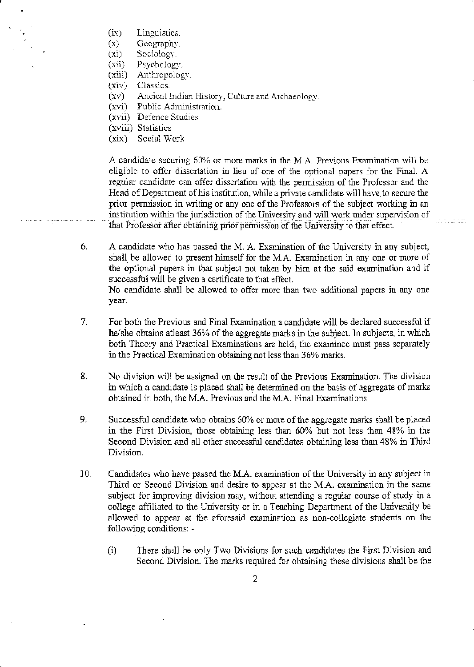- Linguistics.  $(ix)$
- Geography.  $(x)$
- $(x_1)$ Sociology.
- Psychology.  $(xii)$
- Anthropology.  $(xiii)$
- Classics.  $(xiv)$
- Ancient Indian History, Culture and Archaeology.  $(xv)$
- Public Administration.  $(xvi)$
- (xvii) Defence Studies
- (xviii) Statistics
- $(xix)$ Social Work

A candidate securing 60% or more marks in the M.A. Previous Examination will be eligible to offer dissertation in lieu of one of the optional papers for the Final. A regular candidate can offer dissertation with the permission of the Professor and the Head of Department of his institution, while a private candidate will have to secure the prior permission in writing or any one of the Professors of the subject working in an institution within the jurisdiction of the University and will work under supervision of that Professor after obtaining prior permission of the University to that effect.

a a bailtean

- 6. A candidate who has passed the M. A. Examination of the University in any subject, shall be allowed to present himself for the M.A. Examination in any one or more of the optional papers in that subject not taken by him at the said examination and if successful will be given a certificate to that effect. No candidate shall be allowed to offer more than two additional papers in any one year.
- 7. For both the Previous and Final Examination a candidate will be declared successful if he/she obtains at least 36% of the aggregate marks in the subject. In subjects, in which both Theory and Practical Examinations are held, the examinee must pass separately in the Practical Examination obtaining not less than 36% marks.
- 8. No division will be assigned on the result of the Previous Examination. The division in which a candidate is placed shall be determined on the basis of aggregate of marks obtained in both, the M.A. Previous and the M.A. Final Examinations.
- 9. Successful candidate who obtains 60% or more of the aggregate marks shall be placed in the First Division, those obtaining less than 60% but not less than 48% in the Second Division and all other successful candidates obtaining less than 48% in Third Division.
- 10. Candidates who have passed the M.A. examination of the University in any subject in Third or Second Division and desire to appear at the M.A. examination in the same subject for improving division may, without attending a regular course of study in a college affiliated to the University or in a Teaching Department of the University be allowed to appear at the aforesaid examination as non-collegiate students on the following conditions: -
	- There shall be only Two Divisions for such candidates the First Division and  $(i)$ Second Division. The marks required for obtaining these divisions shall be the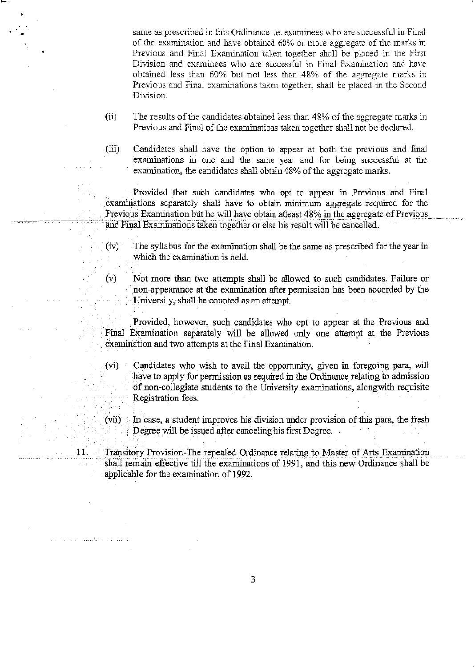same as prescribed in this Ordinance i.e. examinees who are successful in Final of the examination and have obtained  $60\%$  or more aggregate of the marks in Previous and Final Examination taken together shall be placed in the First Division and examinees who are successful in Final Examination and have obtained less than 60% but not less than 48% of the aggregate marks in Previous and Final examinations taken together, shall be placed in the Second Division.

- $(ii)$  The results of the candidates obtained less than 48% of the aggregate marks in Previous and Final of the examinations taken together shall not be declared.
- (iii) Candidates shall have the option to appear at both the previous and final examinations in one ard the same year and for being successful at the examination, the candidates shall obtain 48% of the aggregate marks.

Provided that such candidates who opt to appear in Previous and Final examinations separately shall have to obtain minimum aggregate required for the Previous Examination but he will have obtain atleast 48% in the aggregate of Previous and Final Examinations taken together or else his result will be cancelled.

- $(iv)$  The syllabus for the examination shall be the same as prescribed for the year in. which the examination is held.
- $(v)$  Not more than two attempts shall be allowed to such candidates. Failure or non-appearance at the examination after permission has been accorded by the University, shall be counted as an attempt.
- Provided, however, such candidates who opt to appear at the Previous and Final Examination separately will be allowed only one attempt at the Previous examination and two attempts at the Final Examination.
- (vi) Candidates who wish to avail the opportunity, given in foregoing para, will have to apply for permission as required in the Ordinance relating to admission of non-collegiate students to the University examinations, alongwith requisite Registration fees.

 $(vii)$  In case, a student improves his division under provision of this para, the fresh Degree will be issued after caaoeling his first Degree,

Transitory Provision-The repealed Ordinance relating to Master of Arts Examination shall remain effective till the examinations of 1991, and this new Ordinance shall be applicable for the examination of I992.

11